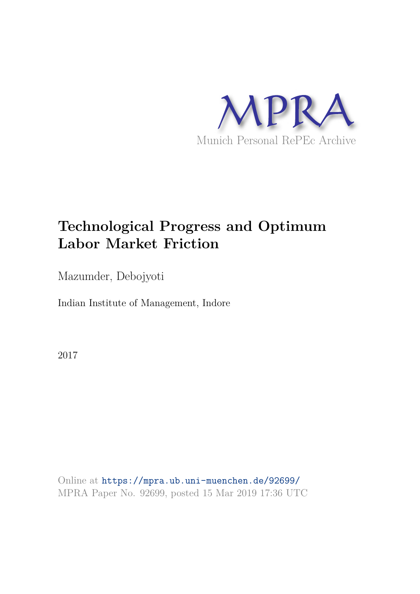

# **Technological Progress and Optimum Labor Market Friction**

Mazumder, Debojyoti

Indian Institute of Management, Indore

2017

Online at https://mpra.ub.uni-muenchen.de/92699/ MPRA Paper No. 92699, posted 15 Mar 2019 17:36 UTC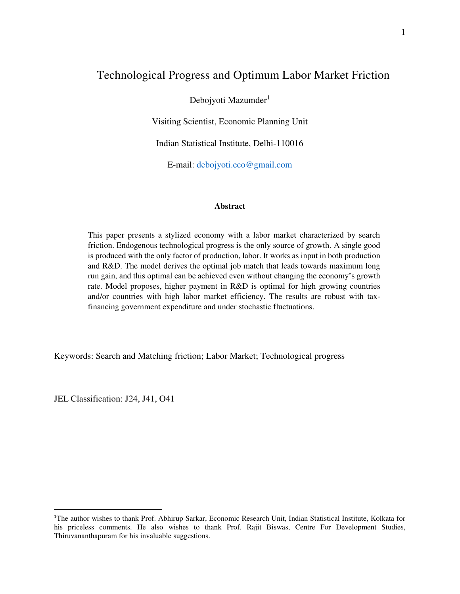# Technological Progress and Optimum Labor Market Friction

Debojyoti Mazumder<sup>1</sup>

Visiting Scientist, Economic Planning Unit

Indian Statistical Institute, Delhi-110016

E-mail: [debojyoti.eco@gmail.com](mailto:debojyoti.eco@gmail.com)

#### **Abstract**

This paper presents a stylized economy with a labor market characterized by search friction. Endogenous technological progress is the only source of growth. A single good is produced with the only factor of production, labor. It works as input in both production and R&D. The model derives the optimal job match that leads towards maximum long run gain, and this optimal can be achieved even without changing the economy's growth rate. Model proposes, higher payment in R&D is optimal for high growing countries and/or countries with high labor market efficiency. The results are robust with taxfinancing government expenditure and under stochastic fluctuations.

Keywords: Search and Matching friction; Labor Market; Technological progress

JEL Classification: J24, J41, O41

<sup>1</sup>The author wishes to thank Prof. Abhirup Sarkar, Economic Research Unit, Indian Statistical Institute, Kolkata for his priceless comments. He also wishes to thank Prof. Rajit Biswas, Centre For Development Studies, Thiruvananthapuram for his invaluable suggestions.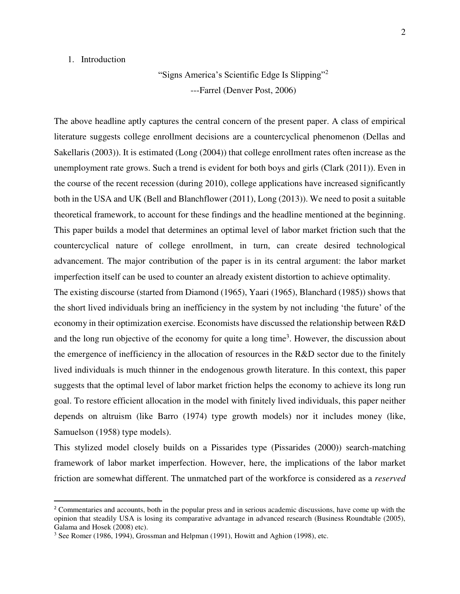# 1. Introduction

l

"Signs America's Scientific Edge Is Slipping"<sup>2</sup> ---Farrel (Denver Post, 2006)

The above headline aptly captures the central concern of the present paper. A class of empirical literature suggests college enrollment decisions are a countercyclical phenomenon (Dellas and Sakellaris (2003)). It is estimated (Long (2004)) that college enrollment rates often increase as the unemployment rate grows. Such a trend is evident for both boys and girls (Clark (2011)). Even in the course of the recent recession (during 2010), college applications have increased significantly both in the USA and UK (Bell and Blanchflower (2011), Long (2013)). We need to posit a suitable theoretical framework, to account for these findings and the headline mentioned at the beginning. This paper builds a model that determines an optimal level of labor market friction such that the countercyclical nature of college enrollment, in turn, can create desired technological advancement. The major contribution of the paper is in its central argument: the labor market imperfection itself can be used to counter an already existent distortion to achieve optimality.

The existing discourse (started from Diamond (1965), Yaari (1965), Blanchard (1985)) shows that the short lived individuals bring an inefficiency in the system by not including 'the future' of the economy in their optimization exercise. Economists have discussed the relationship between R&D and the long run objective of the economy for quite a long time<sup>3</sup>. However, the discussion about the emergence of inefficiency in the allocation of resources in the R&D sector due to the finitely lived individuals is much thinner in the endogenous growth literature. In this context, this paper suggests that the optimal level of labor market friction helps the economy to achieve its long run goal. To restore efficient allocation in the model with finitely lived individuals, this paper neither depends on altruism (like Barro (1974) type growth models) nor it includes money (like, Samuelson (1958) type models).

This stylized model closely builds on a Pissarides type (Pissarides (2000)) search-matching framework of labor market imperfection. However, here, the implications of the labor market friction are somewhat different. The unmatched part of the workforce is considered as a *reserved* 

<sup>&</sup>lt;sup>2</sup> Commentaries and accounts, both in the popular press and in serious academic discussions, have come up with the opinion that steadily USA is losing its comparative advantage in advanced research (Business Roundtable (2005), Galama and Hosek (2008) etc).

<sup>&</sup>lt;sup>3</sup> See Romer (1986, 1994), Grossman and Helpman (1991), Howitt and Aghion (1998), etc.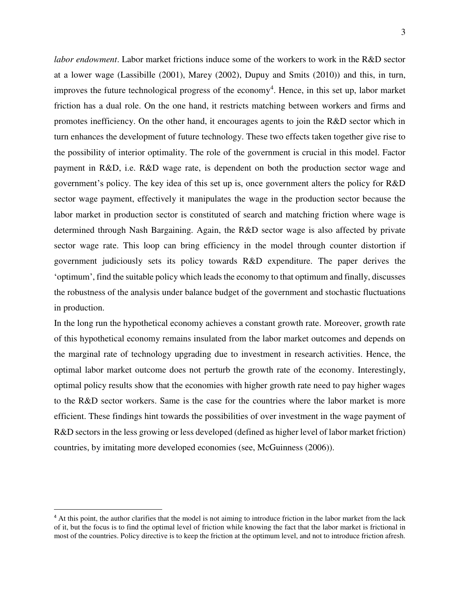*labor endowment*. Labor market frictions induce some of the workers to work in the R&D sector at a lower wage (Lassibille (2001), Marey (2002), Dupuy and Smits (2010)) and this, in turn, improves the future technological progress of the economy<sup>4</sup>. Hence, in this set up, labor market friction has a dual role. On the one hand, it restricts matching between workers and firms and promotes inefficiency. On the other hand, it encourages agents to join the R&D sector which in turn enhances the development of future technology. These two effects taken together give rise to the possibility of interior optimality. The role of the government is crucial in this model. Factor payment in R&D, i.e. R&D wage rate, is dependent on both the production sector wage and government's policy. The key idea of this set up is, once government alters the policy for R&D sector wage payment, effectively it manipulates the wage in the production sector because the labor market in production sector is constituted of search and matching friction where wage is determined through Nash Bargaining. Again, the R&D sector wage is also affected by private sector wage rate. This loop can bring efficiency in the model through counter distortion if government judiciously sets its policy towards R&D expenditure. The paper derives the 'optimum', find the suitable policy which leads the economy to that optimum and finally, discusses the robustness of the analysis under balance budget of the government and stochastic fluctuations in production.

In the long run the hypothetical economy achieves a constant growth rate. Moreover, growth rate of this hypothetical economy remains insulated from the labor market outcomes and depends on the marginal rate of technology upgrading due to investment in research activities. Hence, the optimal labor market outcome does not perturb the growth rate of the economy. Interestingly, optimal policy results show that the economies with higher growth rate need to pay higher wages to the R&D sector workers. Same is the case for the countries where the labor market is more efficient. These findings hint towards the possibilities of over investment in the wage payment of R&D sectors in the less growing or less developed (defined as higher level of labor market friction) countries, by imitating more developed economies (see, McGuinness (2006)).

<sup>&</sup>lt;sup>4</sup> At this point, the author clarifies that the model is not aiming to introduce friction in the labor market from the lack of it, but the focus is to find the optimal level of friction while knowing the fact that the labor market is frictional in most of the countries. Policy directive is to keep the friction at the optimum level, and not to introduce friction afresh.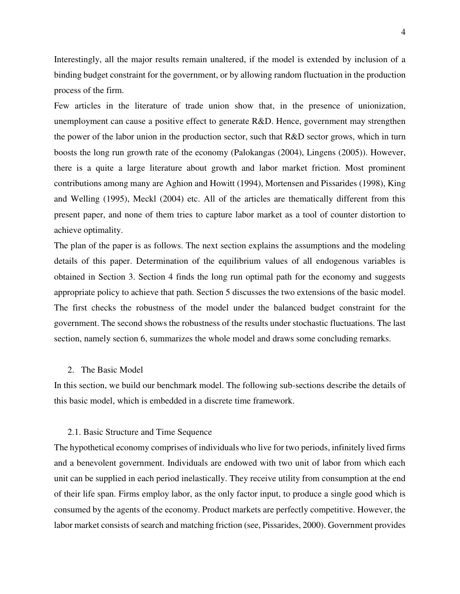Interestingly, all the major results remain unaltered, if the model is extended by inclusion of a binding budget constraint for the government, or by allowing random fluctuation in the production process of the firm.

Few articles in the literature of trade union show that, in the presence of unionization, unemployment can cause a positive effect to generate R&D. Hence, government may strengthen the power of the labor union in the production sector, such that R&D sector grows, which in turn boosts the long run growth rate of the economy (Palokangas (2004), Lingens (2005)). However, there is a quite a large literature about growth and labor market friction. Most prominent contributions among many are Aghion and Howitt (1994), Mortensen and Pissarides (1998), King and Welling (1995), Meckl (2004) etc. All of the articles are thematically different from this present paper, and none of them tries to capture labor market as a tool of counter distortion to achieve optimality.

The plan of the paper is as follows. The next section explains the assumptions and the modeling details of this paper. Determination of the equilibrium values of all endogenous variables is obtained in Section 3. Section 4 finds the long run optimal path for the economy and suggests appropriate policy to achieve that path. Section 5 discusses the two extensions of the basic model. The first checks the robustness of the model under the balanced budget constraint for the government. The second shows the robustness of the results under stochastic fluctuations. The last section, namely section 6, summarizes the whole model and draws some concluding remarks.

# 2. The Basic Model

In this section, we build our benchmark model. The following sub-sections describe the details of this basic model, which is embedded in a discrete time framework.

#### 2.1. Basic Structure and Time Sequence

The hypothetical economy comprises of individuals who live for two periods, infinitely lived firms and a benevolent government. Individuals are endowed with two unit of labor from which each unit can be supplied in each period inelastically. They receive utility from consumption at the end of their life span. Firms employ labor, as the only factor input, to produce a single good which is consumed by the agents of the economy. Product markets are perfectly competitive. However, the labor market consists of search and matching friction (see, Pissarides, 2000). Government provides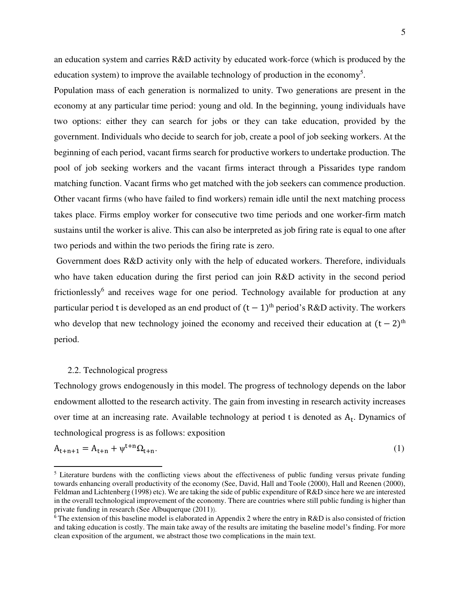an education system and carries R&D activity by educated work-force (which is produced by the education system) to improve the available technology of production in the economy<sup>5</sup>.

Population mass of each generation is normalized to unity. Two generations are present in the economy at any particular time period: young and old. In the beginning, young individuals have two options: either they can search for jobs or they can take education, provided by the government. Individuals who decide to search for job, create a pool of job seeking workers. At the beginning of each period, vacant firms search for productive workers to undertake production. The pool of job seeking workers and the vacant firms interact through a Pissarides type random matching function. Vacant firms who get matched with the job seekers can commence production. Other vacant firms (who have failed to find workers) remain idle until the next matching process takes place. Firms employ worker for consecutive two time periods and one worker-firm match sustains until the worker is alive. This can also be interpreted as job firing rate is equal to one after two periods and within the two periods the firing rate is zero.

 Government does R&D activity only with the help of educated workers. Therefore, individuals who have taken education during the first period can join R&D activity in the second period frictionlessly<sup>6</sup> and receives wage for one period. Technology available for production at any particular period t is developed as an end product of  $(t - 1)$ <sup>th</sup> period's R&D activity. The workers who develop that new technology joined the economy and received their education at  $(t - 2)$ <sup>th</sup> period.

# 2.2. Technological progress

 $\overline{a}$ 

Technology grows endogenously in this model. The progress of technology depends on the labor endowment allotted to the research activity. The gain from investing in research activity increases over time at an increasing rate. Available technology at period  $t$  is denoted as  $A_t$ . Dynamics of technological progress is as follows: exposition

$$
A_{t+n+1} = A_{t+n} + \psi^{t+n} \Omega_{t+n}.
$$
 (1)

<sup>&</sup>lt;sup>5</sup> Literature burdens with the conflicting views about the effectiveness of public funding versus private funding towards enhancing overall productivity of the economy (See, David, Hall and Toole (2000), Hall and Reenen (2000), Feldman and Lichtenberg (1998) etc). We are taking the side of public expenditure of R&D since here we are interested in the overall technological improvement of the economy. There are countries where still public funding is higher than private funding in research (See Albuquerque (2011)).

<sup>&</sup>lt;sup>6</sup> The extension of this baseline model is elaborated in Appendix 2 where the entry in R&D is also consisted of friction and taking education is costly. The main take away of the results are imitating the baseline model's finding. For more clean exposition of the argument, we abstract those two complications in the main text.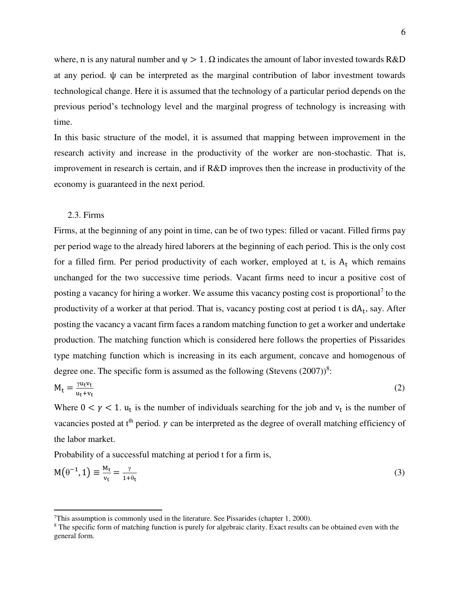where, n is any natural number and  $\psi > 1$ .  $\Omega$  indicates the amount of labor invested towards R&D at any period. ψ can be interpreted as the marginal contribution of labor investment towards technological change. Here it is assumed that the technology of a particular period depends on the previous period's technology level and the marginal progress of technology is increasing with time.

In this basic structure of the model, it is assumed that mapping between improvement in the research activity and increase in the productivity of the worker are non-stochastic. That is, improvement in research is certain, and if R&D improves then the increase in productivity of the economy is guaranteed in the next period.

# 2.3. Firms

l

Firms, at the beginning of any point in time, can be of two types: filled or vacant. Filled firms pay per period wage to the already hired laborers at the beginning of each period. This is the only cost for a filled firm. Per period productivity of each worker, employed at  $t$ , is  $A_t$  which remains unchanged for the two successive time periods. Vacant firms need to incur a positive cost of posting a vacancy for hiring a worker. We assume this vacancy posting cost is proportional<sup>7</sup> to the productivity of a worker at that period. That is, vacancy posting cost at period t is  $dA_t$ , say. After posting the vacancy a vacant firm faces a random matching function to get a worker and undertake production. The matching function which is considered here follows the properties of Pissarides type matching function which is increasing in its each argument, concave and homogenous of degree one. The specific form is assumed as the following (Stevens  $(2007))^8$ :

$$
M_t = \frac{\gamma u_t v_t}{u_t + v_t} \tag{2}
$$

Where  $0 < \gamma < 1$ .  $u_t$  is the number of individuals searching for the job and  $v_t$  is the number of vacancies posted at  $t<sup>th</sup>$  period.  $\gamma$  can be interpreted as the degree of overall matching efficiency of the labor market.

Probability of a successful matching at period t for a firm is,

$$
M(\theta^{-1}, 1) \equiv \frac{M_t}{v_t} = \frac{\gamma}{1 + \theta_t} \tag{3}
$$

 $T$ This assumption is commonly used in the literature. See Pissarides (chapter 1, 2000).

<sup>&</sup>lt;sup>8</sup> The specific form of matching function is purely for algebraic clarity. Exact results can be obtained even with the general form.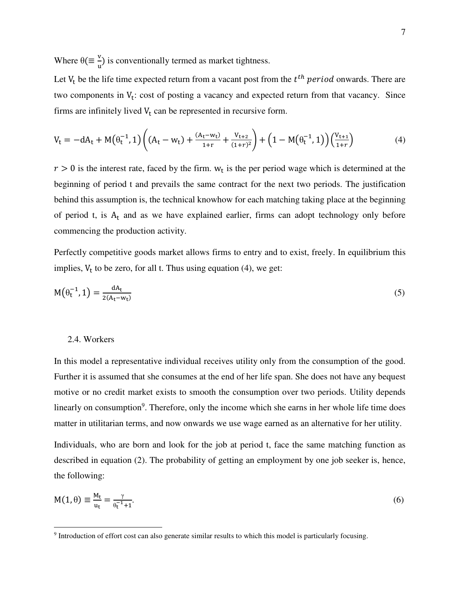Where  $\theta$ ( $\equiv \frac{v}{u}$ ) is conventionally termed as market tightness.

Let  $V_t$  be the life time expected return from a vacant post from the  $t^{th}$  period onwards. There are two components in  $V_t$ : cost of posting a vacancy and expected return from that vacancy. Since firms are infinitely lived  $V_t$  can be represented in recursive form.

$$
V_t = -dA_t + M(\theta_t^{-1}, 1) \left( (A_t - w_t) + \frac{(A_t - w_t)}{1 + r} + \frac{V_{t+2}}{(1 + r)^2} \right) + \left( 1 - M(\theta_t^{-1}, 1) \right) \left( \frac{V_{t+1}}{1 + r} \right) \tag{4}
$$

 $r > 0$  is the interest rate, faced by the firm.  $w_t$  is the per period wage which is determined at the beginning of period t and prevails the same contract for the next two periods. The justification behind this assumption is, the technical knowhow for each matching taking place at the beginning of period t, is  $A_t$  and as we have explained earlier, firms can adopt technology only before commencing the production activity.

Perfectly competitive goods market allows firms to entry and to exist, freely. In equilibrium this implies,  $V_t$  to be zero, for all t. Thus using equation (4), we get:

$$
M(\theta_t^{-1}, 1) = \frac{dA_t}{2(A_t - w_t)}
$$
\n
$$
(5)
$$

## 2.4. Workers

l

In this model a representative individual receives utility only from the consumption of the good. Further it is assumed that she consumes at the end of her life span. She does not have any bequest motive or no credit market exists to smooth the consumption over two periods. Utility depends linearly on consumption<sup>9</sup>. Therefore, only the income which she earns in her whole life time does matter in utilitarian terms, and now onwards we use wage earned as an alternative for her utility.

Individuals, who are born and look for the job at period t, face the same matching function as described in equation (2). The probability of getting an employment by one job seeker is, hence, the following:

$$
M(1,\theta) \equiv \frac{M_t}{u_t} = \frac{\gamma}{\theta_t^{-1} + 1}.
$$
\n<sup>(6)</sup>

<sup>9</sup> Introduction of effort cost can also generate similar results to which this model is particularly focusing.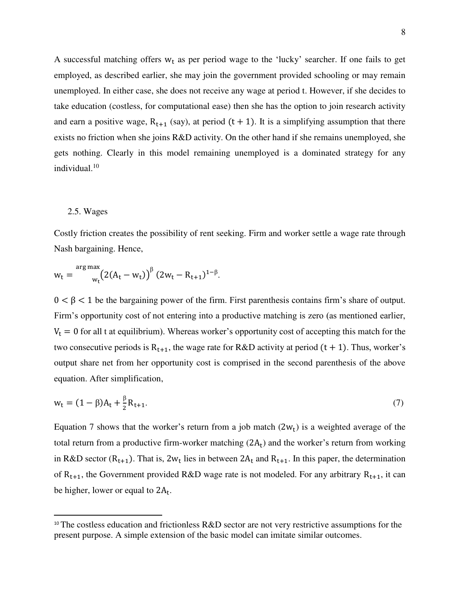A successful matching offers  $w_t$  as per period wage to the 'lucky' searcher. If one fails to get employed, as described earlier, she may join the government provided schooling or may remain unemployed. In either case, she does not receive any wage at period t. However, if she decides to take education (costless, for computational ease) then she has the option to join research activity and earn a positive wage,  $R_{t+1}$  (say), at period (t + 1). It is a simplifying assumption that there exists no friction when she joins R&D activity. On the other hand if she remains unemployed, she gets nothing. Clearly in this model remaining unemployed is a dominated strategy for any individual.<sup>10</sup>

# 2.5. Wages

 $\overline{a}$ 

Costly friction creates the possibility of rent seeking. Firm and worker settle a wage rate through Nash bargaining. Hence,

$$
w_t = \frac{\arg \max_{w_t} (2(A_t - w_t))^{\beta} (2w_t - R_{t+1})^{1-\beta}}{w_t}
$$

 $0 < \beta < 1$  be the bargaining power of the firm. First parenthesis contains firm's share of output. Firm's opportunity cost of not entering into a productive matching is zero (as mentioned earlier,  $V_t = 0$  for all t at equilibrium). Whereas worker's opportunity cost of accepting this match for the two consecutive periods is  $R_{t+1}$ , the wage rate for R&D activity at period (t + 1). Thus, worker's output share net from her opportunity cost is comprised in the second parenthesis of the above equation. After simplification,

$$
w_t = (1 - \beta)A_t + \frac{\beta}{2}R_{t+1}.
$$
\n(7)

Equation 7 shows that the worker's return from a job match  $(2w_t)$  is a weighted average of the total return from a productive firm-worker matching  $(2A_t)$  and the worker's return from working in R&D sector ( $R_{t+1}$ ). That is,  $2w_t$  lies in between  $2A_t$  and  $R_{t+1}$ . In this paper, the determination of  $R_{t+1}$ , the Government provided R&D wage rate is not modeled. For any arbitrary  $R_{t+1}$ , it can be higher, lower or equal to  $2A_t$ .

<sup>&</sup>lt;sup>10</sup> The costless education and frictionless R&D sector are not very restrictive assumptions for the present purpose. A simple extension of the basic model can imitate similar outcomes.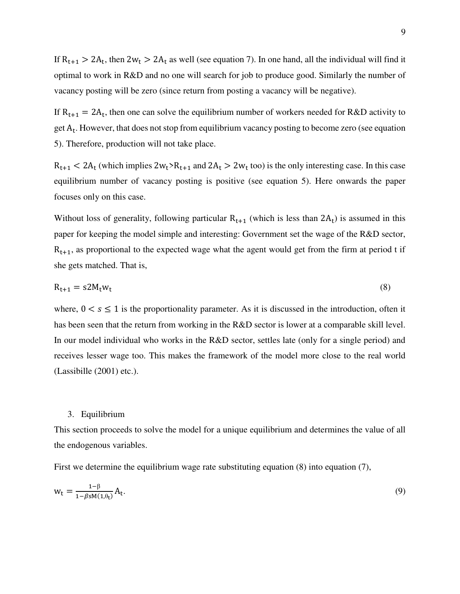If  $R_{t+1} > 2A_t$ , then  $2w_t > 2A_t$  as well (see equation 7). In one hand, all the individual will find it optimal to work in R&D and no one will search for job to produce good. Similarly the number of vacancy posting will be zero (since return from posting a vacancy will be negative).

If  $R_{t+1} = 2A_t$ , then one can solve the equilibrium number of workers needed for R&D activity to get  $A_t$ . However, that does not stop from equilibrium vacancy posting to become zero (see equation 5). Therefore, production will not take place.

 $R_{t+1}$  < 2A<sub>t</sub> (which implies  $2w_t$ > $R_{t+1}$  and  $2A_t$  >  $2w_t$  too) is the only interesting case. In this case equilibrium number of vacancy posting is positive (see equation 5). Here onwards the paper focuses only on this case.

Without loss of generality, following particular  $R_{t+1}$  (which is less than  $2A_t$ ) is assumed in this paper for keeping the model simple and interesting: Government set the wage of the R&D sector,  $R_{t+1}$ , as proportional to the expected wage what the agent would get from the firm at period t if she gets matched. That is,

$$
R_{t+1} = s2M_t w_t \tag{8}
$$

where,  $0 < s \le 1$  is the proportionality parameter. As it is discussed in the introduction, often it has been seen that the return from working in the R&D sector is lower at a comparable skill level. In our model individual who works in the R&D sector, settles late (only for a single period) and receives lesser wage too. This makes the framework of the model more close to the real world (Lassibille (2001) etc.).

# 3. Equilibrium

This section proceeds to solve the model for a unique equilibrium and determines the value of all the endogenous variables.

First we determine the equilibrium wage rate substituting equation (8) into equation (7),

$$
w_t = \frac{1 - \beta}{1 - \beta s M (1, \theta_t)} A_t.
$$
\n
$$
(9)
$$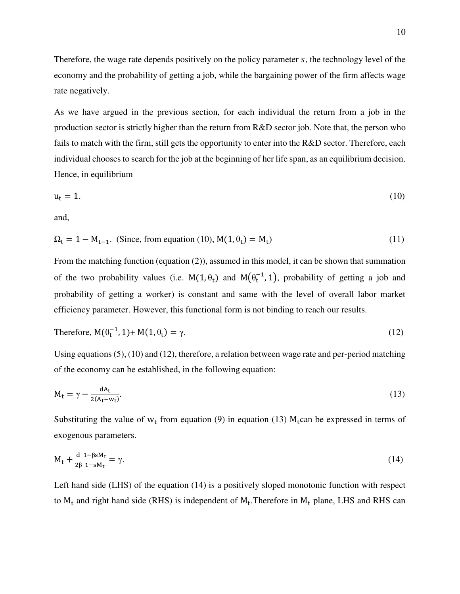Therefore, the wage rate depends positively on the policy parameter  $s$ , the technology level of the economy and the probability of getting a job, while the bargaining power of the firm affects wage rate negatively.

As we have argued in the previous section, for each individual the return from a job in the production sector is strictly higher than the return from R&D sector job. Note that, the person who fails to match with the firm, still gets the opportunity to enter into the R&D sector. Therefore, each individual chooses to search for the job at the beginning of her life span, as an equilibrium decision. Hence, in equilibrium

$$
u_t = 1. \tag{10}
$$

and,

$$
\Omega_t = 1 - M_{t-1}.
$$
 (Since, from equation (10),  $M(1, \theta_t) = M_t$ ) (11)

From the matching function (equation (2)), assumed in this model, it can be shown that summation of the two probability values (i.e.  $M(1, \theta_t)$  and  $M(\theta_t^{-1}, 1)$ , probability of getting a job and probability of getting a worker) is constant and same with the level of overall labor market efficiency parameter. However, this functional form is not binding to reach our results.

Therefore, 
$$
M(\theta_t^{-1}, 1) + M(1, \theta_t) = \gamma
$$
. (12)

Using equations (5), (10) and (12), therefore, a relation between wage rate and per-period matching of the economy can be established, in the following equation:

$$
M_t = \gamma - \frac{dA_t}{2(A_t - w_t)}.\tag{13}
$$

Substituting the value of  $w_t$  from equation (9) in equation (13)  $M_t$ can be expressed in terms of exogenous parameters.

$$
M_t + \frac{d}{2\beta} \frac{1 - \beta s M_t}{1 - s M_t} = \gamma.
$$
\n(14)

Left hand side (LHS) of the equation (14) is a positively sloped monotonic function with respect to  $M_t$  and right hand side (RHS) is independent of  $M_t$ . Therefore in  $M_t$  plane, LHS and RHS can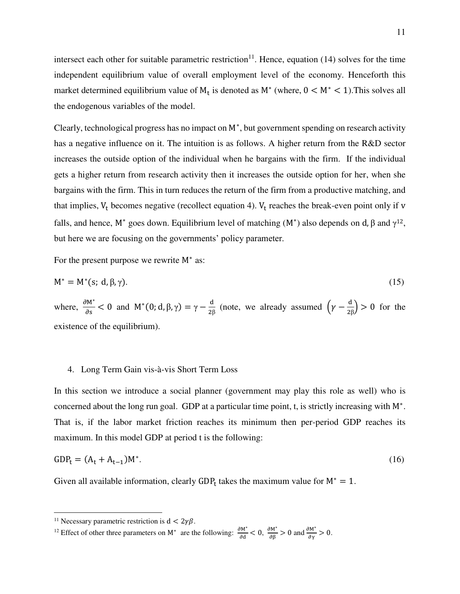intersect each other for suitable parametric restriction<sup>11</sup>. Hence, equation (14) solves for the time independent equilibrium value of overall employment level of the economy. Henceforth this market determined equilibrium value of  $M_t$  is denoted as  $M^*$  (where,  $0 < M^* < 1$ ). This solves all the endogenous variables of the model.

Clearly, technological progress has no impact on M<sup>∗</sup> , but government spending on research activity has a negative influence on it. The intuition is as follows. A higher return from the R&D sector increases the outside option of the individual when he bargains with the firm. If the individual gets a higher return from research activity then it increases the outside option for her, when she bargains with the firm. This in turn reduces the return of the firm from a productive matching, and that implies,  $V_t$  becomes negative (recollect equation 4).  $V_t$  reaches the break-even point only if v falls, and hence, M<sup>\*</sup> goes down. Equilibrium level of matching  $(M^*)$  also depends on d, β and  $\gamma^{12}$ , but here we are focusing on the governments' policy parameter.

For the present purpose we rewrite M<sup>∗</sup> as:

$$
M^* = M^*(s; d, \beta, \gamma). \tag{15}
$$

where,  $\frac{\partial M^*}{\partial s} < 0$  and  $M^*(0; d, \beta, \gamma) = \gamma - \frac{d}{2\beta}$  $\frac{d}{2\beta}$  (note, we already assumed  $\left(\gamma - \frac{d}{2\beta}\right) > 0$  for the existence of the equilibrium).

# 4. Long Term Gain vis-à-vis Short Term Loss

In this section we introduce a social planner (government may play this role as well) who is concerned about the long run goal. GDP at a particular time point, t, is strictly increasing with M<sup>∗</sup> . That is, if the labor market friction reaches its minimum then per-period GDP reaches its maximum. In this model GDP at period t is the following:

$$
GDP_t = (A_t + A_{t-1})M^*.
$$
 (16)

Given all available information, clearly  $GDP_t$  takes the maximum value for  $M^* = 1$ .

<sup>&</sup>lt;sup>11</sup> Necessary parametric restriction is  $d < 2\gamma\beta$ .

<sup>&</sup>lt;sup>12</sup> Effect of other three parameters on M<sup>∗</sup> are the following:  $\frac{\partial M^*}{\partial d} < 0$ ,  $\frac{\partial M^*}{\partial \beta} > 0$  and  $\frac{\partial M^*}{\partial \gamma} > 0$ .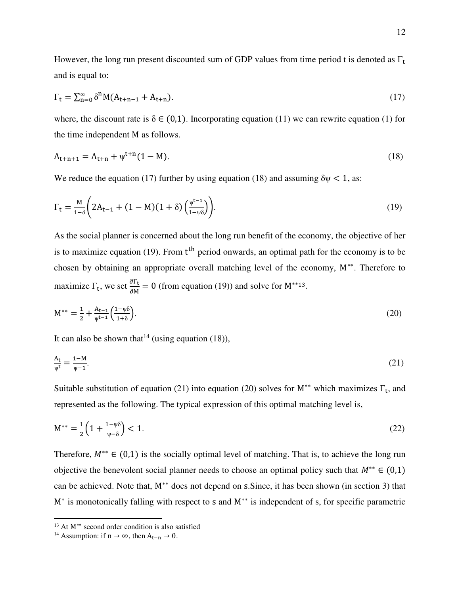However, the long run present discounted sum of GDP values from time period t is denoted as  $\Gamma_t$ and is equal to:

$$
\Gamma_{t} = \sum_{n=0}^{\infty} \delta^{n} M(A_{t+n-1} + A_{t+n}).
$$
\n(17)

where, the discount rate is  $\delta \in (0,1)$ . Incorporating equation (11) we can rewrite equation (1) for the time independent M as follows.

$$
A_{t+n+1} = A_{t+n} + \psi^{t+n} (1 - M). \tag{18}
$$

We reduce the equation (17) further by using equation (18) and assuming  $\delta \psi < 1$ , as:

$$
\Gamma_{t} = \frac{M}{1-\delta} \left( 2A_{t-1} + (1-M)(1+\delta) \left( \frac{\psi^{t-1}}{1-\psi\delta} \right) \right).
$$
 (19)

As the social planner is concerned about the long run benefit of the economy, the objective of her is to maximize equation (19). From t<sup>th</sup> period onwards, an optimal path for the economy is to be chosen by obtaining an appropriate overall matching level of the economy, M∗∗. Therefore to maximize  $\Gamma_t$ , we set  $\frac{\partial \Gamma_t}{\partial M} = 0$  (from equation (19)) and solve for M<sup>\*\*13</sup>.

$$
M^{**} = \frac{1}{2} + \frac{A_{t-1}}{\psi^{t-1}} \left( \frac{1 - \psi \delta}{1 + \delta} \right). \tag{20}
$$

It can also be shown that <sup>14</sup> (using equation (18)),

$$
\frac{A_t}{\psi^t} = \frac{1 - M}{\psi - 1}.\tag{21}
$$

Suitable substitution of equation (21) into equation (20) solves for  $M^{**}$  which maximizes  $\Gamma_t$ , and represented as the following. The typical expression of this optimal matching level is,

$$
M^{**} = \frac{1}{2} \left( 1 + \frac{1 - \psi \delta}{\psi - \delta} \right) < 1. \tag{22}
$$

Therefore,  $M^{**} \in (0,1)$  is the socially optimal level of matching. That is, to achieve the long run objective the benevolent social planner needs to choose an optimal policy such that  $M^{**} \in (0,1)$ can be achieved. Note that, M<sup>\*\*</sup> does not depend on s. Since, it has been shown (in section 3) that M<sup>∗</sup> is monotonically falling with respect to s and M<sup>\*\*</sup> is independent of s, for specific parametric

<sup>13</sup> At M∗∗ second order condition is also satisfied

<sup>&</sup>lt;sup>14</sup> Assumption: if n → ∞, then  $A_{t-n}$  → 0.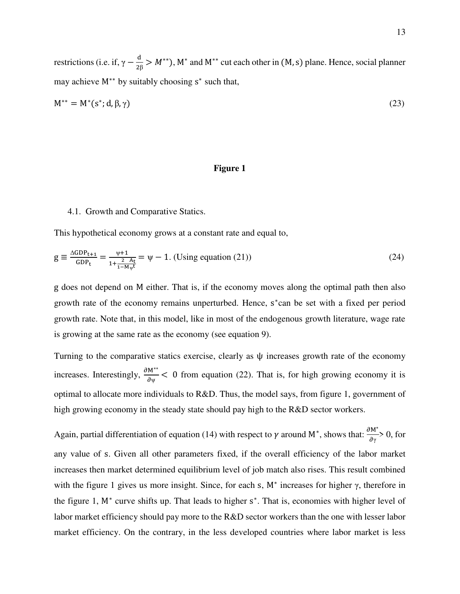restrictions (i.e. if,  $\gamma - \frac{d}{2\beta}$  $\frac{a}{2\beta} > M^{**}$ ), M<sup>\*</sup> and M<sup>\*\*</sup> cut each other in (M, s) plane. Hence, social planner may achieve  $M^{**}$  by suitably choosing  $s^*$  such that,

$$
M^{**} = M^*(s^*; d, \beta, \gamma) \tag{23}
$$

# **Figure 1**

#### 4.1. Growth and Comparative Statics.

This hypothetical economy grows at a constant rate and equal to,

$$
g \equiv \frac{\Delta GDP_{t+1}}{GDP_t} = \frac{\psi + 1}{1 + \frac{2 - A_t}{1 - M\psi^t}} = \psi - 1. \text{ (Using equation (21))}
$$
 (24)

g does not depend on M either. That is, if the economy moves along the optimal path then also growth rate of the economy remains unperturbed. Hence, s ∗ can be set with a fixed per period growth rate. Note that, in this model, like in most of the endogenous growth literature, wage rate is growing at the same rate as the economy (see equation 9).

Turning to the comparative statics exercise, clearly as ψ increases growth rate of the economy increases. Interestingly,  $\frac{\partial M^{**}}{\partial \psi}$  < 0 from equation (22). That is, for high growing economy it is optimal to allocate more individuals to R&D. Thus, the model says, from figure 1, government of high growing economy in the steady state should pay high to the R&D sector workers.

Again, partial differentiation of equation (14) with respect to  $\gamma$  around M<sup>∗</sup>, shows that:  $\frac{\partial M^*}{\partial \gamma} > 0$ , for any value of s. Given all other parameters fixed, if the overall efficiency of the labor market increases then market determined equilibrium level of job match also rises. This result combined with the figure 1 gives us more insight. Since, for each s,  $M^*$  increases for higher  $\gamma$ , therefore in the figure 1, M<sup>∗</sup> curve shifts up. That leads to higher s ∗ . That is, economies with higher level of labor market efficiency should pay more to the R&D sector workers than the one with lesser labor market efficiency. On the contrary, in the less developed countries where labor market is less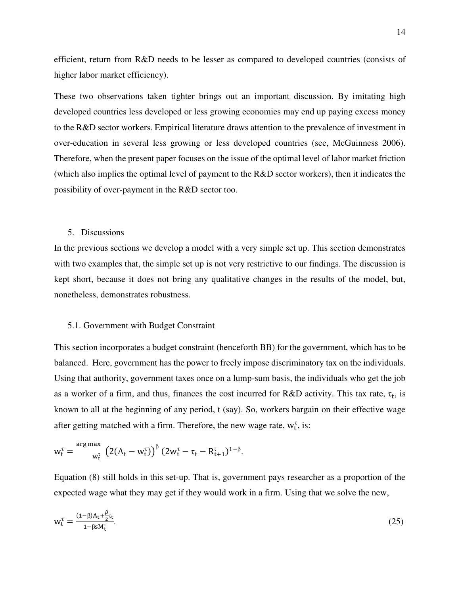efficient, return from R&D needs to be lesser as compared to developed countries (consists of higher labor market efficiency).

These two observations taken tighter brings out an important discussion. By imitating high developed countries less developed or less growing economies may end up paying excess money to the R&D sector workers. Empirical literature draws attention to the prevalence of investment in over-education in several less growing or less developed countries (see, McGuinness 2006). Therefore, when the present paper focuses on the issue of the optimal level of labor market friction (which also implies the optimal level of payment to the R&D sector workers), then it indicates the possibility of over-payment in the R&D sector too.

# 5. Discussions

In the previous sections we develop a model with a very simple set up. This section demonstrates with two examples that, the simple set up is not very restrictive to our findings. The discussion is kept short, because it does not bring any qualitative changes in the results of the model, but, nonetheless, demonstrates robustness.

# 5.1. Government with Budget Constraint

This section incorporates a budget constraint (henceforth BB) for the government, which has to be balanced. Here, government has the power to freely impose discriminatory tax on the individuals. Using that authority, government taxes once on a lump-sum basis, the individuals who get the job as a worker of a firm, and thus, finances the cost incurred for  $R&D$  activity. This tax rate,  $\tau_t$ , is known to all at the beginning of any period, t (say). So, workers bargain on their effective wage after getting matched with a firm. Therefore, the new wage rate,  $w_t^{\tau}$ , is:

$$
w_t^{\tau} = \frac{\arg \max_{w_t^{\tau}} \left( 2(A_t - w_t^{\tau}) \right)^{\beta} (2w_t^{\tau} - \tau_t - R_{t+1}^{\tau})^{1-\beta}.
$$

Equation (8) still holds in this set-up. That is, government pays researcher as a proportion of the expected wage what they may get if they would work in a firm. Using that we solve the new,

$$
w_t^{\tau} = \frac{(1-\beta)A_t + \frac{\beta}{2}\tau_t}{1-\beta s M_t^{\tau}}.
$$
\n(25)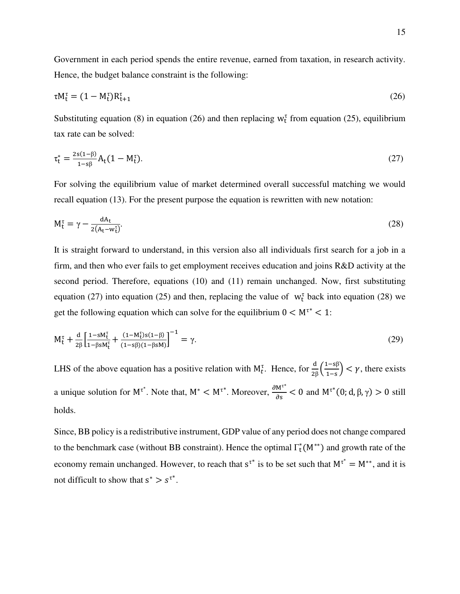Government in each period spends the entire revenue, earned from taxation, in research activity. Hence, the budget balance constraint is the following:

$$
\tau M_t^{\tau} = (1 - M_t^{\tau}) R_{t+1}^{\tau}
$$
\n
$$
(26)
$$

Substituting equation (8) in equation (26) and then replacing  $w_t^{\tau}$  from equation (25), equilibrium tax rate can be solved:

$$
\tau_t^* = \frac{2s(1-\beta)}{1-s\beta} A_t (1 - M_t^{\tau}). \tag{27}
$$

For solving the equilibrium value of market determined overall successful matching we would recall equation (13). For the present purpose the equation is rewritten with new notation:

$$
M_t^{\tau} = \gamma - \frac{dA_t}{2(A_t - w_t^{\tau})}.
$$
\n(28)

It is straight forward to understand, in this version also all individuals first search for a job in a firm, and then who ever fails to get employment receives education and joins R&D activity at the second period. Therefore, equations (10) and (11) remain unchanged. Now, first substituting equation (27) into equation (25) and then, replacing the value of  $w_t^{\tau}$  back into equation (28) we get the following equation which can solve for the equilibrium  $0 \lt M^{\tau^*} \lt 1$ :

$$
M_t^{\tau} + \frac{d}{2\beta} \left[ \frac{1 - sM_t^{\tau}}{1 - \beta s M_t^{\tau}} + \frac{(1 - M_t^{\tau})s(1 - \beta)}{(1 - s\beta)(1 - \beta s M)} \right]^{-1} = \gamma.
$$
 (29)

LHS of the above equation has a positive relation with  $M_t^{\tau}$ . Hence, for  $\frac{d}{2\beta} \left( \frac{1-s\beta}{1-s} \right) < \gamma$ , there exists a unique solution for  $M^{\tau^*}$ . Note that,  $M^* < M^{\tau^*}$ . Moreover,  $\frac{\partial M^{\tau^*}}{\partial s} < 0$  and  $M^{\tau^*}(0; d, \beta, \gamma) > 0$  still holds.

Since, BB policy is a redistributive instrument, GDP value of any period does not change compared to the benchmark case (without BB constraint). Hence the optimal  $\Gamma_t^*(M^{**})$  and growth rate of the economy remain unchanged. However, to reach that  $s^{t*}$  is to be set such that  $M^{t*} = M^{**}$ , and it is not difficult to show that  $s^* > s^{\tau^*}$ .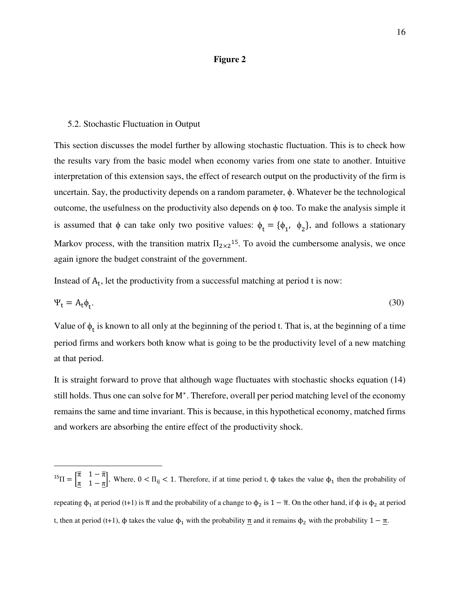# **Figure 2**

# 5.2. Stochastic Fluctuation in Output

l

This section discusses the model further by allowing stochastic fluctuation. This is to check how the results vary from the basic model when economy varies from one state to another. Intuitive interpretation of this extension says, the effect of research output on the productivity of the firm is uncertain. Say, the productivity depends on a random parameter, ϕ. Whatever be the technological outcome, the usefulness on the productivity also depends on ϕ too. To make the analysis simple it is assumed that  $\phi$  can take only two positive values:  $\phi_t = {\phi_1, \phi_2}$ , and follows a stationary Markov process, with the transition matrix  $\Pi_{2\times 2}^{15}$ . To avoid the cumbersome analysis, we once again ignore the budget constraint of the government.

Instead of  $A_t$ , let the productivity from a successful matching at period t is now:

$$
\Psi_t = A_t \phi_t. \tag{30}
$$

Value of  $\phi_t$  is known to all only at the beginning of the period t. That is, at the beginning of a time period firms and workers both know what is going to be the productivity level of a new matching at that period.

It is straight forward to prove that although wage fluctuates with stochastic shocks equation (14) still holds. Thus one can solve for M<sup>∗</sup> . Therefore, overall per period matching level of the economy remains the same and time invariant. This is because, in this hypothetical economy, matched firms and workers are absorbing the entire effect of the productivity shock.

<sup>15</sup> $\Pi = \begin{bmatrix} \overline{\pi} & 1 - \overline{\pi} \\ \overline{\pi} & 1 - \overline{\pi} \end{bmatrix}$ . Where,  $0 < \Pi_{ij} < 1$ . Therefore, if at time period t,  $\phi$  takes the value  $\phi_1$  then the probability of repeating  $\phi_1$  at period (t+1) is  $\bar{\pi}$  and the probability of a change to  $\phi_2$  is  $1-\bar{\pi}$ . On the other hand, if  $\phi$  is  $\phi_2$  at period t, then at period (t+1),  $\phi$  takes the value  $\phi_1$  with the probability  $\pi$  and it remains  $\phi_2$  with the probability  $1 - \pi$ .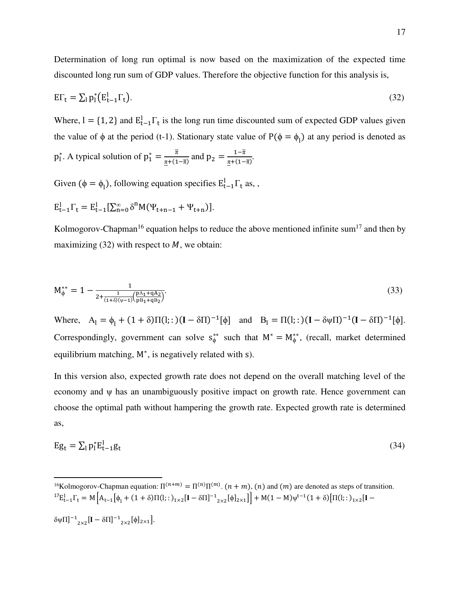Determination of long run optimal is now based on the maximization of the expected time discounted long run sum of GDP values. Therefore the objective function for this analysis is,

$$
E\Gamma_t = \sum_l p_l^* \left( E_{t-1}^l \Gamma_t \right). \tag{32}
$$

Where,  $I = \{1, 2\}$  and  $E_{t-1}^I \Gamma_t$  is the long run time discounted sum of expected GDP values given the value of  $\phi$  at the period (t-1). Stationary state value of  $P(\phi = \phi_1)$  at any period is denoted as

$$
p_1^*
$$
. A typical solution of  $p_1^* = \frac{\overline{\pi}}{\underline{\pi} + (1 - \overline{\pi})}$  and  $p_2 = \frac{1 - \overline{\pi}}{\underline{\pi} + (1 - \overline{\pi})}$ .

Given ( $\phi = \phi_1$ ), following equation specifies  $E_{t-1}^1 \Gamma_t$  as, ,

$$
E_{t-1}^l \Gamma_t = E_{t-1}^l [\Sigma_{n=0}^{\infty} \delta^n M(\Psi_{t+n-1} + \Psi_{t+n})].
$$

l

Kolmogorov-Chapman<sup>16</sup> equation helps to reduce the above mentioned infinite sum<sup>17</sup> and then by maximizing (32) with respect to  $M$ , we obtain:

$$
M_{\phi}^{**} = 1 - \frac{1}{2 + \frac{1}{(1+\delta)(\psi - 1)} \left(\frac{pA_1 + qA_2}{pB_1 + qB_2}\right)}.
$$
\n(33)

Where,  $A_{l} = \phi_{l} + (1 + \delta)\Pi(l; :)(I - \delta\Pi)^{-1}[\phi]$  and  $B_{l} = \Pi(l; :)(I - \delta\psi\Pi)^{-1}(I - \delta\Pi)^{-1}[\phi]$ . Correspondingly, government can solve  $s_{\phi}^{**}$  such that  $M^* = M_{\phi}^{**}$ , (recall, market determined equilibrium matching, M<sup>∗</sup> , is negatively related with s).

In this version also, expected growth rate does not depend on the overall matching level of the economy and ψ has an unambiguously positive impact on growth rate. Hence government can choose the optimal path without hampering the growth rate. Expected growth rate is determined as,

$$
Eg_t = \sum_l p_l^* E_{t-1}^l g_t \tag{34}
$$

<sup>16</sup>Kolmogorov-Chapman equation:  $\Pi^{(n+m)} = \Pi^{(n)}\Pi^{(m)}$ .  $(n+m)$ ,  $(n)$  and  $(m)$  are denoted as steps of transition. <sup>17</sup>E<sub>t−1</sub>Γ<sub>t</sub> = M  $[A_{t-1}[\phi_1 + (1 + \delta)\Pi(l; :)_{1 \times 2}[I - \delta\Pi]^{-1}{}_{2 \times 2}[\phi]_{2 \times 1}]\right]$  + M(1 − M)ψ<sup>t−1</sup>(1 + δ)[Π(l; :)<sub>1×2</sub>[I −  $δψΠ]$ <sup>-1</sup><sub>2×2</sub>[**I** − δΠ]<sup>-1</sup><sub>2×2</sub>[ϕ]<sub>2×1</sub>].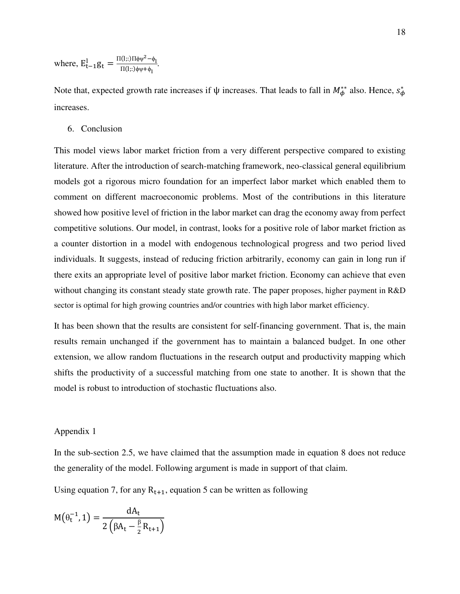where,  $E_{t-1}^1 g_t = \frac{\Pi(l,:)\Pi\phi\psi^2 - \phi_l}{\Pi(l::)\phi\psi + \phi_l}$ <sup>Π</sup>(l;:)ϕψ+ϕ<sup>l</sup> .

Note that, expected growth rate increases if  $\psi$  increases. That leads to fall in  $M^{**}_{\phi}$  also. Hence,  $s^*_{\phi}$ increases.

6. Conclusion

This model views labor market friction from a very different perspective compared to existing literature. After the introduction of search-matching framework, neo-classical general equilibrium models got a rigorous micro foundation for an imperfect labor market which enabled them to comment on different macroeconomic problems. Most of the contributions in this literature showed how positive level of friction in the labor market can drag the economy away from perfect competitive solutions. Our model, in contrast, looks for a positive role of labor market friction as a counter distortion in a model with endogenous technological progress and two period lived individuals. It suggests, instead of reducing friction arbitrarily, economy can gain in long run if there exits an appropriate level of positive labor market friction. Economy can achieve that even without changing its constant steady state growth rate. The paper proposes, higher payment in R&D sector is optimal for high growing countries and/or countries with high labor market efficiency.

It has been shown that the results are consistent for self-financing government. That is, the main results remain unchanged if the government has to maintain a balanced budget. In one other extension, we allow random fluctuations in the research output and productivity mapping which shifts the productivity of a successful matching from one state to another. It is shown that the model is robust to introduction of stochastic fluctuations also.

### Appendix 1

In the sub-section 2.5, we have claimed that the assumption made in equation 8 does not reduce the generality of the model. Following argument is made in support of that claim.

Using equation 7, for any  $R_{t+1}$ , equation 5 can be written as following

$$
M(\theta_t^{-1}, 1) = \frac{dA_t}{2(\beta A_t - \frac{\beta}{2}R_{t+1})}
$$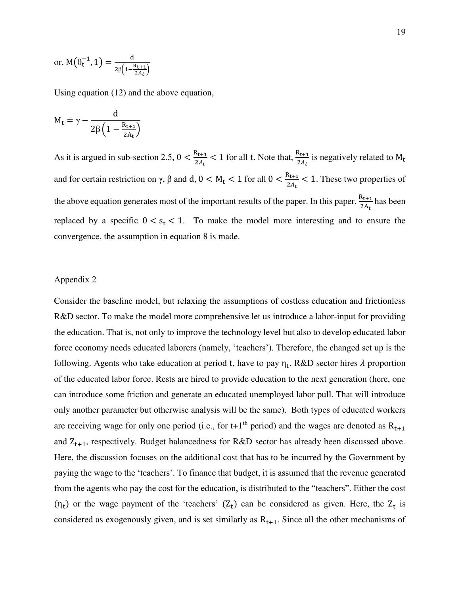or, 
$$
M(\theta_t^{-1}, 1) = \frac{d}{2\beta(1 - \frac{R_{t+1}}{2A_t})}
$$

Using equation (12) and the above equation,

$$
M_t = \gamma - \frac{d}{2\beta \left(1 - \frac{R_{t+1}}{2A_t}\right)}
$$

As it is argued in sub-section 2.5,  $0 < \frac{R_{t+1}}{2A_t} < 1$  for all t. Note that,  $\frac{R_{t+1}}{2A_t}$  is negatively related to  $M_t$ and for certain restriction on  $\gamma$ ,  $\beta$  and d,  $0 < M_t < 1$  for all  $0 < \frac{R_{t+1}}{2A_t} < 1$ . These two properties of the above equation generates most of the important results of the paper. In this paper,  $\frac{R_{t+1}}{2A_t}$  has been replaced by a specific  $0 < s_t < 1$ . To make the model more interesting and to ensure the convergence, the assumption in equation 8 is made.

#### Appendix 2

Consider the baseline model, but relaxing the assumptions of costless education and frictionless R&D sector. To make the model more comprehensive let us introduce a labor-input for providing the education. That is, not only to improve the technology level but also to develop educated labor force economy needs educated laborers (namely, 'teachers'). Therefore, the changed set up is the following. Agents who take education at period t, have to pay  $\eta_t$ . R&D sector hires  $\lambda$  proportion of the educated labor force. Rests are hired to provide education to the next generation (here, one can introduce some friction and generate an educated unemployed labor pull. That will introduce only another parameter but otherwise analysis will be the same). Both types of educated workers are receiving wage for only one period (i.e., for t+1<sup>th</sup> period) and the wages are denoted as  $R_{t+1}$ and  $Z_{t+1}$ , respectively. Budget balancedness for R&D sector has already been discussed above. Here, the discussion focuses on the additional cost that has to be incurred by the Government by paying the wage to the 'teachers'. To finance that budget, it is assumed that the revenue generated from the agents who pay the cost for the education, is distributed to the "teachers". Either the cost  $(\eta_t)$  or the wage payment of the 'teachers'  $(Z_t)$  can be considered as given. Here, the  $Z_t$  is considered as exogenously given, and is set similarly as  $R_{t+1}$ . Since all the other mechanisms of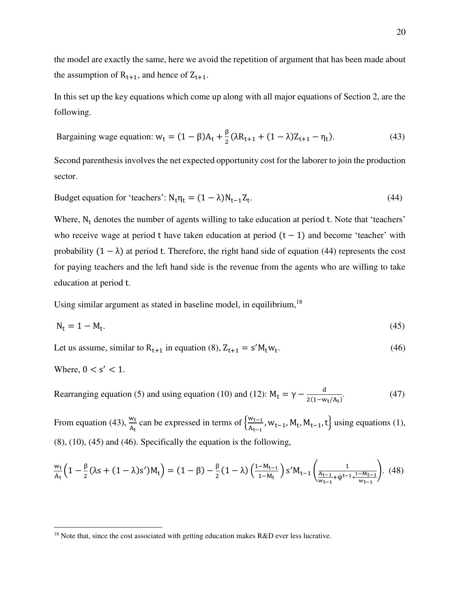the model are exactly the same, here we avoid the repetition of argument that has been made about the assumption of  $R_{t+1}$ , and hence of  $Z_{t+1}$ .

In this set up the key equations which come up along with all major equations of Section 2, are the following.

Bargaining wage equation: 
$$
w_t = (1 - \beta)A_t + \frac{\beta}{2}(\lambda R_{t+1} + (1 - \lambda)Z_{t+1} - \eta_t).
$$
 (43)

Second parenthesis involves the net expected opportunity cost for the laborer to join the production sector.

Budget equation for 'teachers':  $N_t \eta_t = (1 - \lambda) N_{t-1} Z_t$ .  $(44)$ 

Where,  $N_t$  denotes the number of agents willing to take education at period t. Note that 'teachers' who receive wage at period t have taken education at period  $(t - 1)$  and become 'teacher' with probability  $(1 - \lambda)$  at period t. Therefore, the right hand side of equation (44) represents the cost for paying teachers and the left hand side is the revenue from the agents who are willing to take education at period t.

Using similar argument as stated in baseline model, in equilibrium,  $18$ 

$$
N_t = 1 - M_t. \tag{45}
$$

Let us assume, similar to  $R_{t+1}$  in equation (8),  $Z_{t+1} = s'M_tw_t$ .  $(46)$ 

Where, 
$$
0 < s' < 1
$$
.

l

Rearranging equation (5) and using equation (10) and (12):  $M_t = \gamma - \frac{d}{2(1-w)t}$  $2(1-w_t/A_t)$  $(47)$ 

From equation (43),  $\frac{w_t}{A_t}$  can be expressed in terms of  $\left\{\frac{w_{t-1}}{A_{t-1}}\right\}$  $\left\{\frac{W_{t-1}}{A_{t-1}}, W_{t-1}, W_t, M_{t-1}, t\right\}$  using equations (1), (8), (10), (45) and (46). Specifically the equation is the following,

$$
\frac{w_t}{A_t} \Big( 1 - \frac{\beta}{2} (\lambda s + (1 - \lambda)s') M_t \Big) = (1 - \beta) - \frac{\beta}{2} (1 - \lambda) \left( \frac{1 - M_{t-1}}{1 - M_t} \right) s' M_{t-1} \left( \frac{1}{\frac{A_{t-1}}{w_{t-1}} + \psi^{t-1} * \frac{1 - M_{t-1}}{w_{t-1}}} \right). \tag{48}
$$

 $18$  Note that, since the cost associated with getting education makes R&D ever less lucrative.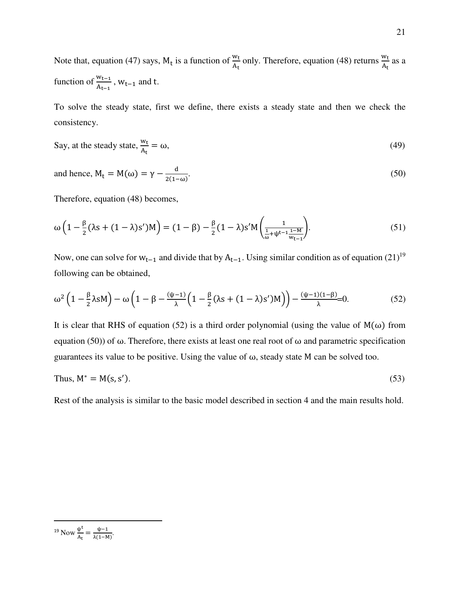Note that, equation (47) says,  $M_t$  is a function of  $\frac{w_t}{A_t}$  only. Therefore, equation (48) returns  $\frac{w_t}{A_t}$  as a function of  $\frac{w_{t-1}}{A_{t-1}}$ ,  $w_{t-1}$  and t.

To solve the steady state, first we define, there exists a steady state and then we check the consistency.

Say, at the steady state, 
$$
\frac{w_t}{A_t} = \omega
$$
, (49)

and hence, 
$$
M_t = M(\omega) = \gamma - \frac{d}{2(1-\omega)}
$$
. (50)

Therefore, equation (48) becomes,

$$
\omega\left(1 - \frac{\beta}{2}(\lambda s + (1 - \lambda)s')M\right) = (1 - \beta) - \frac{\beta}{2}(1 - \lambda)s'M\left(\frac{1}{\frac{1}{\omega} + \psi^{t-1}\frac{1 - M}{W_{t-1}}}\right).
$$
\n(51)

Now, one can solve for  $w_{t-1}$  and divide that by  $A_{t-1}$ . Using similar condition as of equation (21)<sup>19</sup> following can be obtained,

$$
\omega^2 \left(1 - \frac{\beta}{2}\lambda s M\right) - \omega \left(1 - \beta - \frac{(\psi - 1)}{\lambda} \left(1 - \frac{\beta}{2} (\lambda s + (1 - \lambda)s') M\right)\right) - \frac{(\psi - 1)(1 - \beta)}{\lambda} = 0. \tag{52}
$$

It is clear that RHS of equation (52) is a third order polynomial (using the value of  $M(\omega)$  from equation (50)) of ω. Therefore, there exists at least one real root of ω and parametric specification guarantees its value to be positive. Using the value of  $\omega$ , steady state M can be solved too.

Thus, 
$$
M^* = M(s, s').
$$
 (53)

Rest of the analysis is similar to the basic model described in section 4 and the main results hold.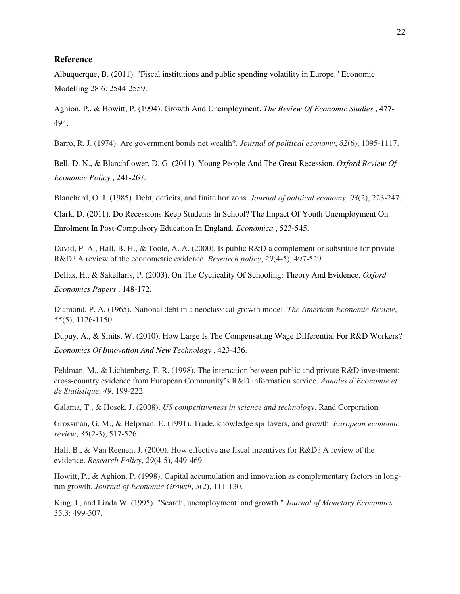# **Reference**

Albuquerque, B. (2011). "Fiscal institutions and public spending volatility in Europe." Economic Modelling 28.6: 2544-2559.

Aghion, P., & Howitt, P. (1994). Growth And Unemployment. *The Review Of Economic Studies* , 477- 494.

Barro, R. J. (1974). Are government bonds net wealth?. *Journal of political economy*, *82*(6), 1095-1117.

Bell, D. N., & Blanchflower, D. G. (2011). Young People And The Great Recession. *Oxford Review Of Economic Policy* , 241-267.

Blanchard, O. J. (1985). Debt, deficits, and finite horizons. *Journal of political economy*, *93*(2), 223-247.

Clark, D. (2011). Do Recessions Keep Students In School? The Impact Of Youth Unemployment On Enrolment In Post-Compulsory Education In England. *Economica* , 523-545.

David, P. A., Hall, B. H., & Toole, A. A. (2000). Is public R&D a complement or substitute for private R&D? A review of the econometric evidence. *Research policy*, *29*(4-5), 497-529.

Dellas, H., & Sakellaris, P. (2003). On The Cyclicality Of Schooling: Theory And Evidence. *Oxford Economics Papers* , 148-172.

Diamond, P. A. (1965). National debt in a neoclassical growth model. *The American Economic Review*, *55*(5), 1126-1150.

Dupuy, A., & Smits, W. (2010). How Large Is The Compensating Wage Differential For R&D Workers? *Economics Of Innovation And New Technology* , 423-436.

Feldman, M., & Lichtenberg, F. R. (1998). The interaction between public and private R&D investment: cross-country evidence from European Community's R&D information service. *Annales d'Economie et de Statistique*, *49*, 199-222.

Galama, T., & Hosek, J. (2008). *US competitiveness in science and technology*. Rand Corporation.

Grossman, G. M., & Helpman, E. (1991). Trade, knowledge spillovers, and growth. *European economic review*, *35*(2-3), 517-526.

Hall, B., & Van Reenen, J. (2000). How effective are fiscal incentives for R&D? A review of the evidence. *Research Policy*, *29*(4-5), 449-469.

Howitt, P., & Aghion, P. (1998). Capital accumulation and innovation as complementary factors in longrun growth. *Journal of Economic Growth*, *3*(2), 111-130.

King, I., and Linda W. (1995). "Search, unemployment, and growth." *Journal of Monetary Economics* 35.3: 499-507.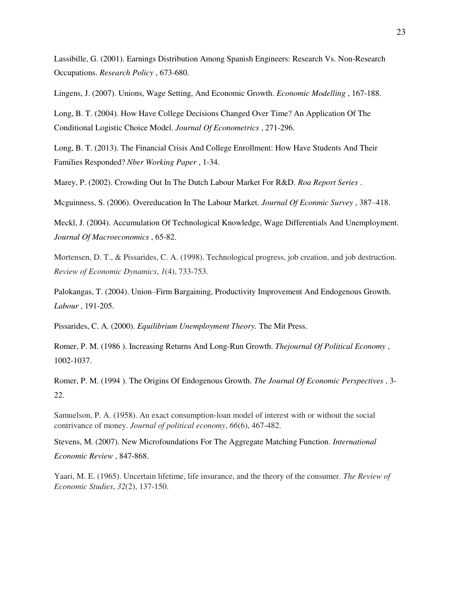Lassibille, G. (2001). Earnings Distribution Among Spanish Engineers: Research Vs. Non-Research Occupations. *Research Policy* , 673-680.

Lingens, J. (2007). Unions, Wage Setting, And Economic Growth. *Economic Modelling* , 167-188.

Long, B. T. (2004). How Have College Decisions Changed Over Time? An Application Of The Conditional Logistic Choice Model. *Journal Of Econometrics* , 271-296.

Long, B. T. (2013). The Financial Crisis And College Enrollment: How Have Students And Their Families Responded? *Nber Working Paper* , 1-34.

Marey, P. (2002). Crowding Out In The Dutch Labour Market For R&D. *Roa Report Series* .

Mcguinness, S. (2006). Overeducation In The Labour Market. *Journal Of Econmic Survey* , 387–418.

Meckl, J. (2004). Accumulation Of Technological Knowledge, Wage Differentials And Unemployment. *Journal Of Macroeconomics* , 65-82.

Mortensen, D. T., & Pissarides, C. A. (1998). Technological progress, job creation, and job destruction. *Review of Economic Dynamics*, *1*(4), 733-753.

Palokangas, T. (2004). Union–Firm Bargaining, Productivity Improvement And Endogenous Growth. *Labour* , 191-205.

Pissarides, C. A. (2000). *Equilibrium Unemployment Theory.* The Mit Press.

Romer, P. M. (1986 ). Increasing Returns And Long-Run Growth. *Thejournal Of Political Economy* , 1002-1037.

Romer, P. M. (1994 ). The Origins Of Endogenous Growth. *The Journal Of Economic Perspectives* , 3- 22.

Samuelson, P. A. (1958). An exact consumption-loan model of interest with or without the social contrivance of money. *Journal of political economy*, *66*(6), 467-482.

Stevens, M. (2007). New Microfoundations For The Aggregate Matching Function. *International Economic Review* , 847-868.

Yaari, M. E. (1965). Uncertain lifetime, life insurance, and the theory of the consumer. *The Review of Economic Studies*, *32*(2), 137-150.